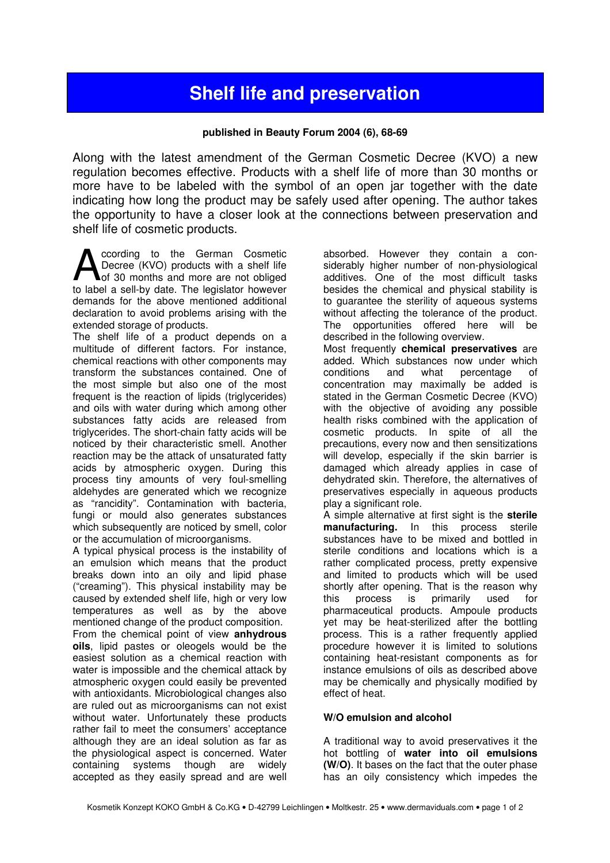# Shelf life and preservation

### published in Beauty Forum 2004 (6), 68-69

Along with the latest amendment of the German Cosmetic Decree (KVO) a new regulation becomes effective. Products with a shelf life of more than 30 months or more have to be labeled with the symbol of an open jar together with the date indicating how long the product may be safely used after opening. The author takes the opportunity to have a closer look at the connections between preservation and shelf life of cosmetic products.

ccording to the German Cosmetic Decree (KVO) products with a shelf life of 30 months and more are not obliged to label a sell-by date. The legislator however demands for the above mentioned additional declaration to avoid problems arising with the extended storage of products. A

The shelf life of a product depends on a multitude of different factors. For instance, chemical reactions with other components may transform the substances contained. One of the most simple but also one of the most frequent is the reaction of lipids (triglycerides) and oils with water during which among other substances fatty acids are released from triglycerides. The short-chain fatty acids will be noticed by their characteristic smell. Another reaction may be the attack of unsaturated fatty acids by atmospheric oxygen. During this process tiny amounts of very foul-smelling aldehydes are generated which we recognize as "rancidity". Contamination with bacteria, fungi or mould also generates substances which subsequently are noticed by smell, color or the accumulation of microorganisms.

A typical physical process is the instability of an emulsion which means that the product breaks down into an oily and lipid phase ("creaming"). This physical instability may be caused by extended shelf life, high or very low temperatures as well as by the above mentioned change of the product composition. From the chemical point of view anhydrous oils, lipid pastes or oleogels would be the easiest solution as a chemical reaction with water is impossible and the chemical attack by atmospheric oxygen could easily be prevented with antioxidants. Microbiological changes also are ruled out as microorganisms can not exist without water. Unfortunately these products rather fail to meet the consumers' acceptance although they are an ideal solution as far as the physiological aspect is concerned. Water containing systems though are widely accepted as they easily spread and are well

absorbed. However they contain a considerably higher number of non-physiological additives. One of the most difficult tasks besides the chemical and physical stability is to guarantee the sterility of aqueous systems without affecting the tolerance of the product. The opportunities offered here will be described in the following overview.

Most frequently chemical preservatives are added. Which substances now under which conditions and what percentage of concentration may maximally be added is stated in the German Cosmetic Decree (KVO) with the objective of avoiding any possible health risks combined with the application of cosmetic products. In spite of all the precautions, every now and then sensitizations will develop, especially if the skin barrier is damaged which already applies in case of dehydrated skin. Therefore, the alternatives of preservatives especially in aqueous products play a significant role.

A simple alternative at first sight is the sterile manufacturing. In this process sterile substances have to be mixed and bottled in sterile conditions and locations which is a rather complicated process, pretty expensive and limited to products which will be used shortly after opening. That is the reason why this process is primarily used for pharmaceutical products. Ampoule products yet may be heat-sterilized after the bottling process. This is a rather frequently applied procedure however it is limited to solutions containing heat-resistant components as for instance emulsions of oils as described above may be chemically and physically modified by effect of heat.

#### W/O emulsion and alcohol

A traditional way to avoid preservatives it the hot bottling of water into oil emulsions (W/O). It bases on the fact that the outer phase has an oily consistency which impedes the